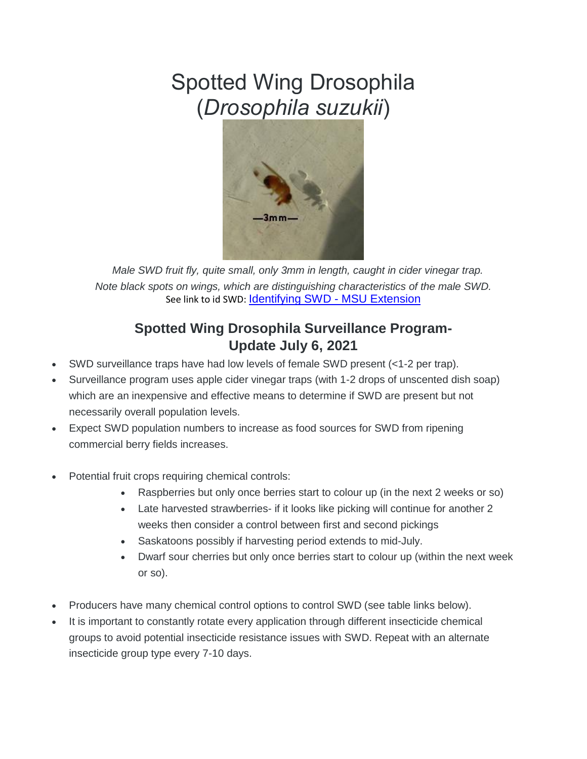# Spotted Wing Drosophila (*Drosophila suzukii*)



 *Male SWD fruit fly, quite small, only 3mm in length, caught in cider vinegar trap. Note black spots on wings, which are distinguishing characteristics of the male SWD.* See link to id SWD: **[Identifying SWD -](https://www.canr.msu.edu/ipm/uploads/files/SWD/MSU_SWD_and_Imitators_identification_sheet-6-13-2013.pdf) MSU Extension** 

## **Spotted Wing Drosophila Surveillance Program-Update July 6, 2021**

- SWD surveillance traps have had low levels of female SWD present (<1-2 per trap).
- Surveillance program uses apple cider vinegar traps (with 1-2 drops of unscented dish soap) which are an inexpensive and effective means to determine if SWD are present but not necessarily overall population levels.
- Expect SWD population numbers to increase as food sources for SWD from ripening commercial berry fields increases.
- Potential fruit crops requiring chemical controls:
	- Raspberries but only once berries start to colour up (in the next 2 weeks or so)
	- Late harvested strawberries- if it looks like picking will continue for another 2 weeks then consider a control between first and second pickings
	- Saskatoons possibly if harvesting period extends to mid-July.
	- Dwarf sour cherries but only once berries start to colour up (within the next week or so).
- Producers have many chemical control options to control SWD (see table links below).
- It is important to constantly rotate every application through different insecticide chemical groups to avoid potential insecticide resistance issues with SWD. Repeat with an alternate insecticide group type every 7-10 days.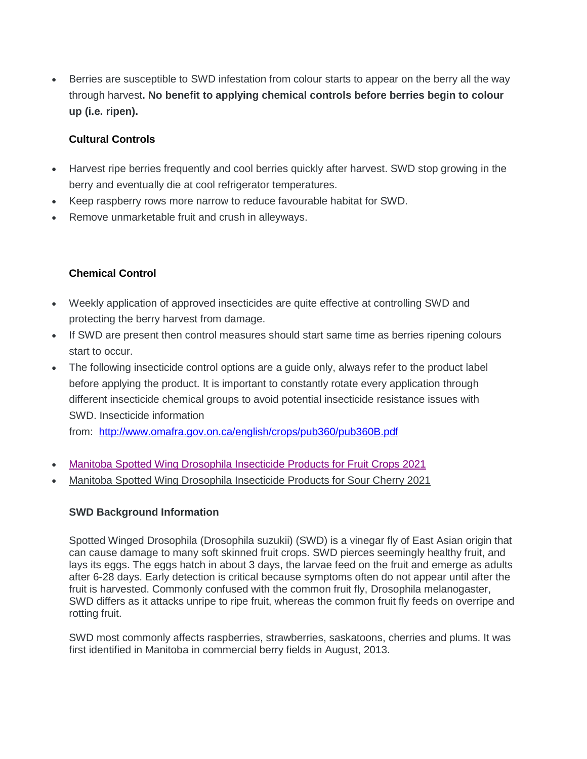Berries are susceptible to SWD infestation from colour starts to appear on the berry all the way through harvest**. No benefit to applying chemical controls before berries begin to colour up (i.e. ripen).**

### **Cultural Controls**

- Harvest ripe berries frequently and cool berries quickly after harvest. SWD stop growing in the berry and eventually die at cool refrigerator temperatures.
- Keep raspberry rows more narrow to reduce favourable habitat for SWD.
- Remove unmarketable fruit and crush in alleyways.

#### **Chemical Control**

- Weekly application of approved insecticides are quite effective at controlling SWD and protecting the berry harvest from damage.
- If SWD are present then control measures should start same time as berries ripening colours start to occur.
- The following insecticide control options are a guide only, always refer to the product label before applying the product. It is important to constantly rotate every application through different insecticide chemical groups to avoid potential insecticide resistance issues with SWD. Insecticide information

from: <http://www.omafra.gov.on.ca/english/crops/pub360/pub360B.pdf>

- Manitoba Spotted Wing [Drosophila](https://www.gov.mb.ca/agriculture/crops/insects/pubs/swd-products-2021-berries.pdf) Insecticide Products for Fruit Crops 2021
- Manitoba Spotted Wing [Drosophila](https://www.gov.mb.ca/agriculture/crops/insects/pubs/swd-products-2021-sour-cherry.pdf) Insecticide Products for Sour Cherry 2021

#### **SWD Background Information**

Spotted Winged Drosophila (Drosophila suzukii) (SWD) is a vinegar fly of East Asian origin that can cause damage to many soft skinned fruit crops. SWD pierces seemingly healthy fruit, and lays its eggs. The eggs hatch in about 3 days, the larvae feed on the fruit and emerge as adults after 6-28 days. Early detection is critical because symptoms often do not appear until after the fruit is harvested. Commonly confused with the common fruit fly, Drosophila melanogaster, SWD differs as it attacks unripe to ripe fruit, whereas the common fruit fly feeds on overripe and rotting fruit.

SWD most commonly affects raspberries, strawberries, saskatoons, cherries and plums. It was first identified in Manitoba in commercial berry fields in August, 2013.